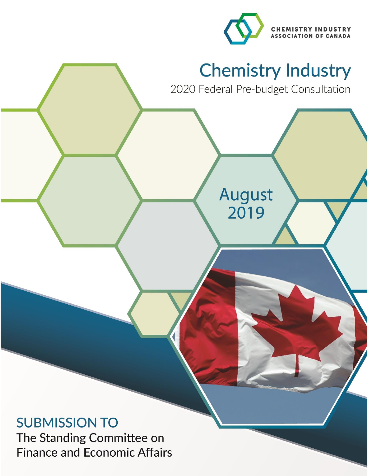



# **SUBMISSION TO**

The Standing Committee on **Finance and Economic Affairs**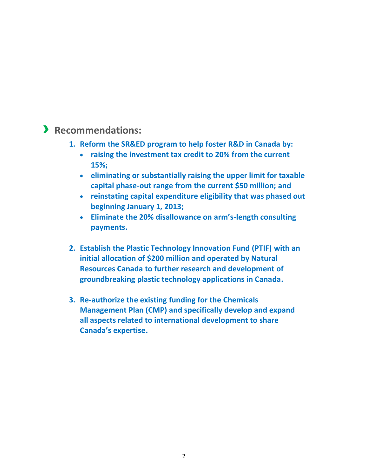### › **Recommendations:**

- **1. Reform the SR&ED program to help foster R&D in Canada by:**
	- **raising the investment tax credit to 20% from the current 15%;**
	- **eliminating or substantially raising the upper limit for taxable capital phase-out range from the current \$50 million; and**
	- **reinstating capital expenditure eligibility that was phased out beginning January 1, 2013;**
	- **Eliminate the 20% disallowance on arm's-length consulting payments.**
- **2. Establish the Plastic Technology Innovation Fund (PTIF) with an initial allocation of \$200 million and operated by Natural Resources Canada to further research and development of groundbreaking plastic technology applications in Canada.**
- **3. Re-authorize the existing funding for the Chemicals Management Plan (CMP) and specifically develop and expand all aspects related to international development to share Canada's expertise.**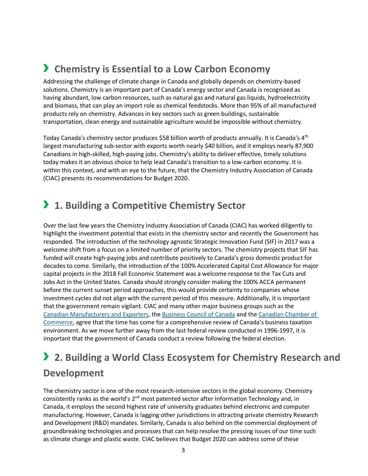### › **Chemistry is Essential to a Low Carbon Economy**

Addressing the challenge of climate change in Canada and globally depends on chemistry-based solutions. Chemistry is an important part of Canada's energy sector and Canada is recognized as having abundant, low carbon resources, such as natural gas and natural gas liquids, hydroelectricity and biomass, that can play an import role as chemical feedstocks. More than 95% of all manufactured products rely on chemistry. Advances in key sectors such as green buildings, sustainable transportation, clean energy and sustainable agriculture would be impossible without chemistry.

Today Canada's chemistry sector produces \$58 billion worth of products annually. It is Canada's 4<sup>th</sup> largest manufacturing sub-sector with exports worth nearly \$40 billion, and it employs nearly 87,900 Canadians in high-skilled, high-paying jobs. Chemistry's ability to deliver effective, timely solutions today makes it an obvious choice to help lead Canada's transition to a low-carbon economy. It is within this context, and with an eye to the future, that the Chemistry Industry Association of Canada (CIAC) presents its recommendations for Budget 2020.

### › **1. Building a Competitive Chemistry Sector**

Over the last few years the Chemistry Industry Association of Canada (CIAC) has worked diligently to highlight the investment potential that exists in the chemistry sector and recently the Government has responded. The introduction of the technology agnostic Strategic Innovation Fund (SIF) in 2017 was a welcome shift from a focus on a limited number of priority sectors. The chemistry projects that SIF has funded will create high-paying jobs and contribute positively to Canada's gross domestic product for decades to come. Similarly, the introduction of the 100% Accelerated Capital Cost Allowance for major capital projects in the 2018 Fall Economic Statement was a welcome response to the Tax Cuts and Jobs Act in the United States. Canada should strongly consider making the 100% ACCA permanent before the current sunset period approaches, this would provide certainty to companies whose investment cycles did not align with the current period of this measure. Additionally, it is important that the government remain vigilant. CIAC and many other major business groups such as the [Canadian Manufacturers and Exporters,](https://cme-mec.ca/wp-content/uploads/2018/11/Doc_QC_Restoring-Canadas-Advantage.pdf) the [Business Council of Canada](https://thebusinesscouncil.ca/initiatives/task-force-on-canadas-economic-future/) and the [Canadian Chamber of](https://www.ataxingissue.com/)  [Commerce](https://www.ataxingissue.com/), agree that the time has come for a comprehensive review of Canada's business taxation environment. As we move further away from the last federal review conducted in 1996-1997, it is important that the government of Canada conduct a review following the federal election.

## › **2. Building a World Class Ecosystem for Chemistry Research and Development**

The chemistry sector is one of the most research-intensive sectors in the global economy. Chemistry consistently ranks as the world's 2<sup>nd</sup> most patented sector after Information Technology and, in Canada, it employs the second highest rate of university graduates behind electronic and computer manufacturing. However, Canada is lagging other jurisdictions in attracting private chemistry Research and Development (R&D) mandates. Similarly, Canada is also behind on the commercial deployment of groundbreaking technologies and processes that can help resolve the pressing issues of our time such as climate change and plastic waste. CIAC believes that Budget 2020 can address some of these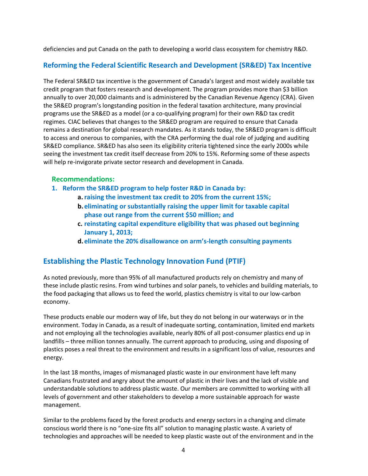deficiencies and put Canada on the path to developing a world class ecosystem for chemistry R&D.

#### **Reforming the Federal Scientific Research and Development (SR&ED) Tax Incentive**

The Federal SR&ED tax incentive is the government of Canada's largest and most widely available tax credit program that fosters research and development. The program provides more than \$3 billion annually to over 20,000 claimants and is administered by the Canadian Revenue Agency (CRA). Given the SR&ED program's longstanding position in the federal taxation architecture, many provincial programs use the SR&ED as a model (or a co-qualifying program) for their own R&D tax credit regimes. CIAC believes that changes to the SR&ED program are required to ensure that Canada remains a destination for global research mandates. As it stands today, the SR&ED program is difficult to access and onerous to companies, with the CRA performing the dual role of judging and auditing SR&ED compliance. SR&ED has also seen its eligibility criteria tightened since the early 2000s while seeing the investment tax credit itself decrease from 20% to 15%. Reforming some of these aspects will help re-invigorate private sector research and development in Canada.

#### **Recommendations:**

- **1. Reform the SR&ED program to help foster R&D in Canada by:**
	- **a.raising the investment tax credit to 20% from the current 15%;**
	- **b.eliminating or substantially raising the upper limit for taxable capital phase out range from the current \$50 million; and**
	- **c. reinstating capital expenditure eligibility that was phased out beginning January 1, 2013;**
	- **d.eliminate the 20% disallowance on arm's-length consulting payments**

#### **Establishing the Plastic Technology Innovation Fund (PTIF)**

As noted previously, more than 95% of all manufactured products rely on chemistry and many of these include plastic resins. From wind turbines and solar panels, to vehicles and building materials, to the food packaging that allows us to feed the world, plastics chemistry is vital to our low-carbon economy.

These products enable our modern way of life, but they do not belong in our waterways or in the environment. Today in Canada, as a result of inadequate sorting, contamination, limited end markets and not employing all the technologies available, nearly 80% of all post-consumer plastics end up in landfills – three million tonnes annually. The current approach to producing, using and disposing of plastics poses a real threat to the environment and results in a significant loss of value, resources and energy.

In the last 18 months, images of mismanaged plastic waste in our environment have left many Canadians frustrated and angry about the amount of plastic in their lives and the lack of visible and understandable solutions to address plastic waste. Our members are committed to working with all levels of government and other stakeholders to develop a more sustainable approach for waste management.

Similar to the problems faced by the forest products and energy sectors in a changing and climate conscious world there is no "one-size fits all" solution to managing plastic waste. A variety of technologies and approaches will be needed to keep plastic waste out of the environment and in the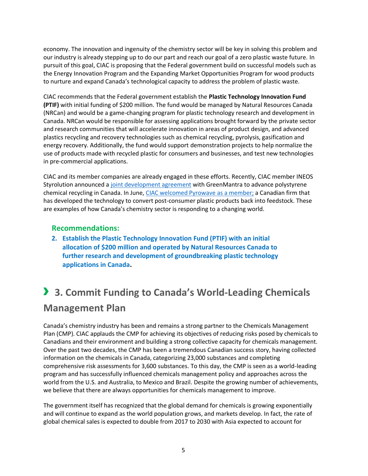economy. The innovation and ingenuity of the chemistry sector will be key in solving this problem and our industry is already stepping up to do our part and reach our goal of a zero plastic waste future. In pursuit of this goal, CIAC is proposing that the Federal government build on successful models such as the Energy Innovation Program and the Expanding Market Opportunities Program for wood products to nurture and expand Canada's technological capacity to address the problem of plastic waste.

CIAC recommends that the Federal government establish the **Plastic Technology Innovation Fund (PTIF)** with initial funding of \$200 million. The fund would be managed by Natural Resources Canada (NRCan) and would be a game-changing program for plastic technology research and development in Canada. NRCan would be responsible for assessing applications brought forward by the private sector and research communities that will accelerate innovation in areas of product design, and advanced plastics recycling and recovery technologies such as chemical recycling, pyrolysis, gasification and energy recovery. Additionally, the fund would support demonstration projects to help normalize the use of products made with recycled plastic for consumers and businesses, and test new technologies in pre-commercial applications.

CIAC and its member companies are already engaged in these efforts. Recently, CIAC member INEOS Styrolution announced a [joint development agreement](https://canadianchemistry.ca/blog/2019/05/02/ciac-congratulates-ineos-styrolution-and-greenmantra-for-their-joint-development-agreement-to-advance-polystyrene-chemical-recycling/) with GreenMantra to advance polystyrene chemical recycling in Canada. In June[, CIAC welcomed Pyrowave](https://canadianchemistry.ca/blog/2019/06/04/polystyrene-recycler-pyrowave-joins-ciac-as-full-member/) as a member; a Canadian firm that has developed the technology to convert post-consumer plastic products back into feedstock. These are examples of how Canada's chemistry sector is responding to a changing world.

#### **Recommendations:**

**2. Establish the Plastic Technology Innovation Fund (PTIF) with an initial allocation of \$200 million and operated by Natural Resources Canada to further research and development of groundbreaking plastic technology applications in Canada.**

## › **3. Commit Funding to Canada's World-Leading Chemicals Management Plan**

Canada's chemistry industry has been and remains a strong partner to the Chemicals Management Plan (CMP). CIAC applauds the CMP for achieving its objectives of reducing risks posed by chemicals to Canadians and their environment and building a strong collective capacity for chemicals management. Over the past two decades, the CMP has been a tremendous Canadian success story, having collected information on the chemicals in Canada, categorizing 23,000 substances and completing comprehensive risk assessments for 3,600 substances. To this day, the CMP is seen as a world-leading program and has successfully influenced chemicals management policy and approaches across the world from the U.S. and Australia, to Mexico and Brazil. Despite the growing number of achievements, we believe that there are always opportunities for chemicals management to improve.

The government itself has recognized that the global demand for chemicals is growing exponentially and will continue to expand as the world population grows, and markets develop. In fact, the rate of global chemical sales is expected to double from 2017 to 2030 with Asia expected to account for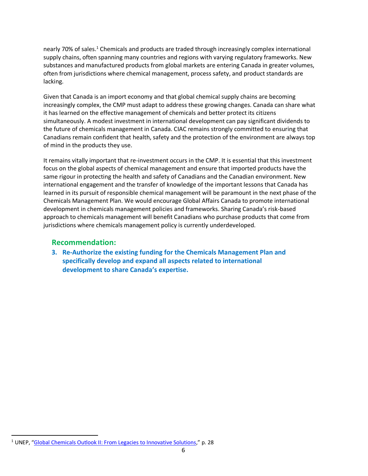nearly 70% of sales.<sup>1</sup> Chemicals and products are traded through increasingly complex international supply chains, often spanning many countries and regions with varying regulatory frameworks. New substances and manufactured products from global markets are entering Canada in greater volumes, often from jurisdictions where chemical management, process safety, and product standards are lacking.

Given that Canada is an import economy and that global chemical supply chains are becoming increasingly complex, the CMP must adapt to address these growing changes. Canada can share what it has learned on the effective management of chemicals and better protect its citizens simultaneously. A modest investment in international development can pay significant dividends to the future of chemicals management in Canada. CIAC remains strongly committed to ensuring that Canadians remain confident that health, safety and the protection of the environment are always top of mind in the products they use.

It remains vitally important that re-investment occurs in the CMP. It is essential that this investment focus on the global aspects of chemical management and ensure that imported products have the same rigour in protecting the health and safety of Canadians and the Canadian environment. New international engagement and the transfer of knowledge of the important lessons that Canada has learned in its pursuit of responsible chemical management will be paramount in the next phase of the Chemicals Management Plan. We would encourage Global Affairs Canada to promote international development in chemicals management policies and frameworks. Sharing Canada's risk-based approach to chemicals management will benefit Canadians who purchase products that come from jurisdictions where chemicals management policy is currently underdeveloped.

#### **Recommendation:**

**3. Re-Authorize the existing funding for the Chemicals Management Plan and specifically develop and expand all aspects related to international development to share Canada's expertise.**

 $\overline{a}$ 

<sup>&</sup>lt;sup>1</sup> UNEP, "[Global Chemicals Outlook II: From Legacies to Innovative Solutions](https://wedocs.unep.org/bitstream/handle/20.500.11822/28113/GCOII.pdf?sequence=1&isAllowed=y)," p. 28